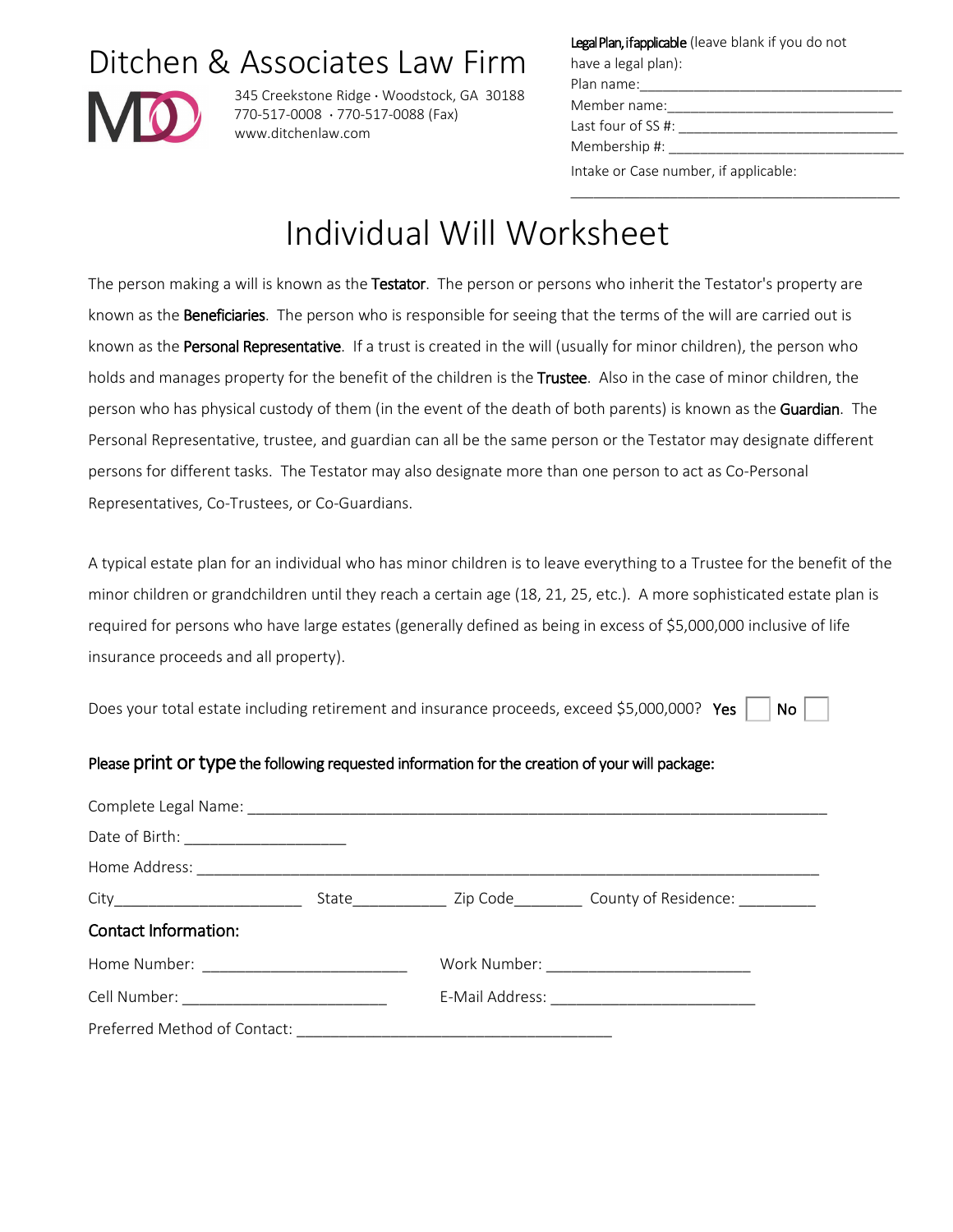# Ditchen & Associates Law Firm



345 Creekstone Ridge ∙ Woodstock, GA 30188 770-517-0008 ∙ 770-517-0088 (Fax) www.ditchenlaw.com

Legal Plan, if applicable (leave blank if you do not

have a legal plan): Plan name: Member name: Last four of  $SS$ #:

Membership #: \_\_\_\_

Intake or Case number, if applicable:

\_\_\_\_\_\_\_\_\_\_\_\_\_\_\_\_\_\_\_\_\_\_\_\_\_\_\_\_\_\_\_\_\_\_\_\_\_\_\_\_\_\_\_

# Individual Will Worksheet

The person making a will is known as the Testator. The person or persons who inherit the Testator's property are known as the Beneficiaries. The person who is responsible for seeing that the terms of the will are carried out is known as the Personal Representative. If a trust is created in the will (usually for minor children), the person who holds and manages property for the benefit of the children is the Trustee. Also in the case of minor children, the person who has physical custody of them (in the event of the death of both parents) is known as the Guardian. The Personal Representative, trustee, and guardian can all be the same person or the Testator may designate different persons for different tasks. The Testator may also designate more than one person to act as Co-Personal Representatives, Co-Trustees, or Co-Guardians.

A typical estate plan for an individual who has minor children is to leave everything to a Trustee for the benefit of the minor children or grandchildren until they reach a certain age (18, 21, 25, etc.). A more sophisticated estate plan is required for persons who have large estates (generally defined as being in excess of \$5,000,000 inclusive of life insurance proceeds and all property).

Does your total estate including retirement and insurance proceeds, exceed \$5,000,000? Yes  $\Box$  No

#### Please print or type the following requested information for the creation of your will package:

| Date of Birth: ________________________    |  |  |
|--------------------------------------------|--|--|
|                                            |  |  |
|                                            |  |  |
| <b>Contact Information:</b>                |  |  |
|                                            |  |  |
| Cell Number: _____________________________ |  |  |
|                                            |  |  |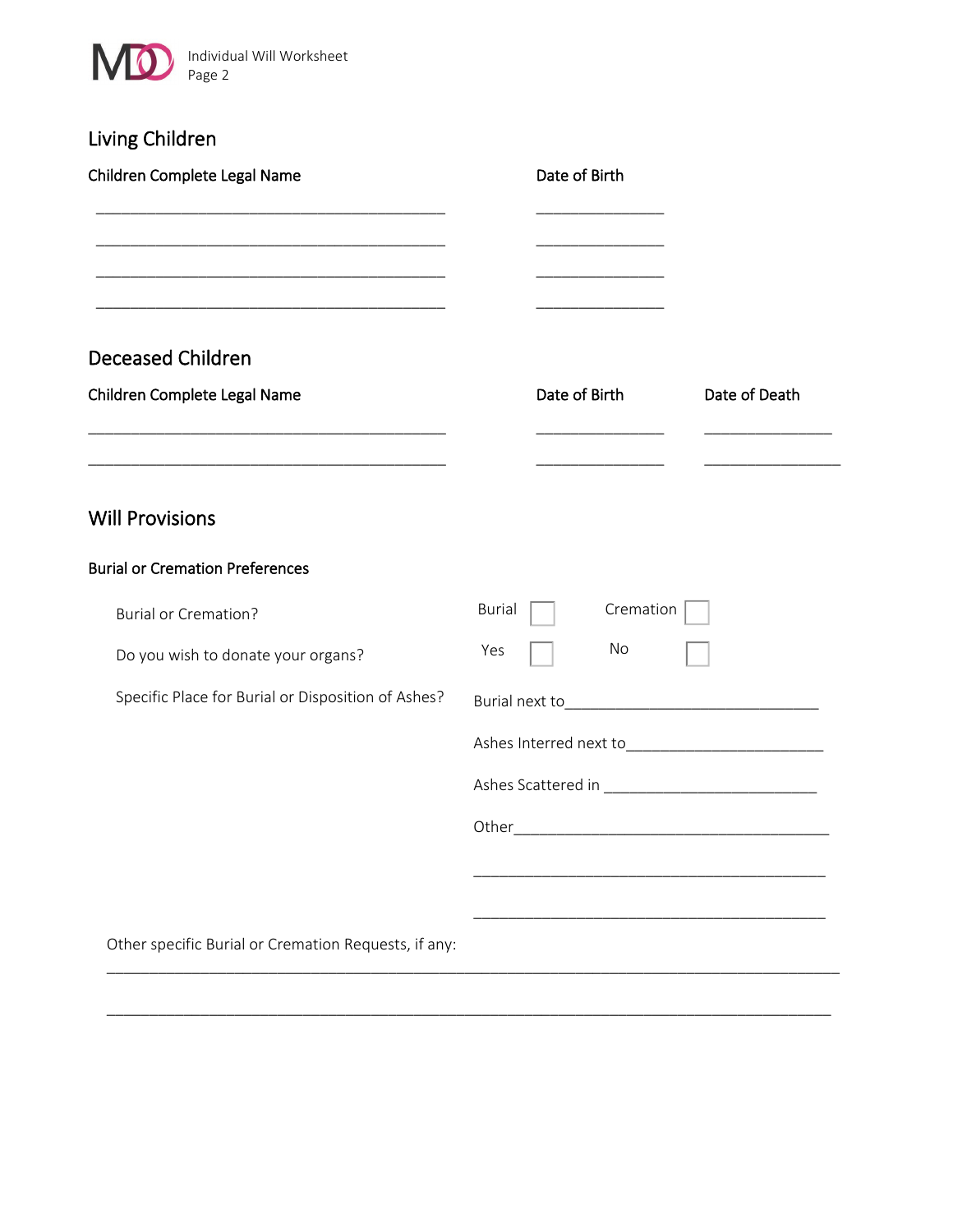

| Living Children                                                                                                                                                                           |                                                                                                     |
|-------------------------------------------------------------------------------------------------------------------------------------------------------------------------------------------|-----------------------------------------------------------------------------------------------------|
| Children Complete Legal Name                                                                                                                                                              | Date of Birth                                                                                       |
| <b>Deceased Children</b><br>Children Complete Legal Name                                                                                                                                  | Date of Birth<br>Date of Death                                                                      |
| <u> 1989 - Johann Harry Harry Harry Harry Harry Harry Harry Harry Harry Harry Harry Harry Harry Harry Harry Harry</u><br><b>Will Provisions</b><br><b>Burial or Cremation Preferences</b> |                                                                                                     |
| <b>Burial or Cremation?</b>                                                                                                                                                               | Burial<br>Cremation                                                                                 |
| Do you wish to donate your organs?                                                                                                                                                        | No<br>Yes                                                                                           |
| Specific Place for Burial or Disposition of Ashes?                                                                                                                                        | Other_<br>the control of the control of the control of the control of the control of the control of |
| Other specific Burial or Cremation Requests, if any:                                                                                                                                      |                                                                                                     |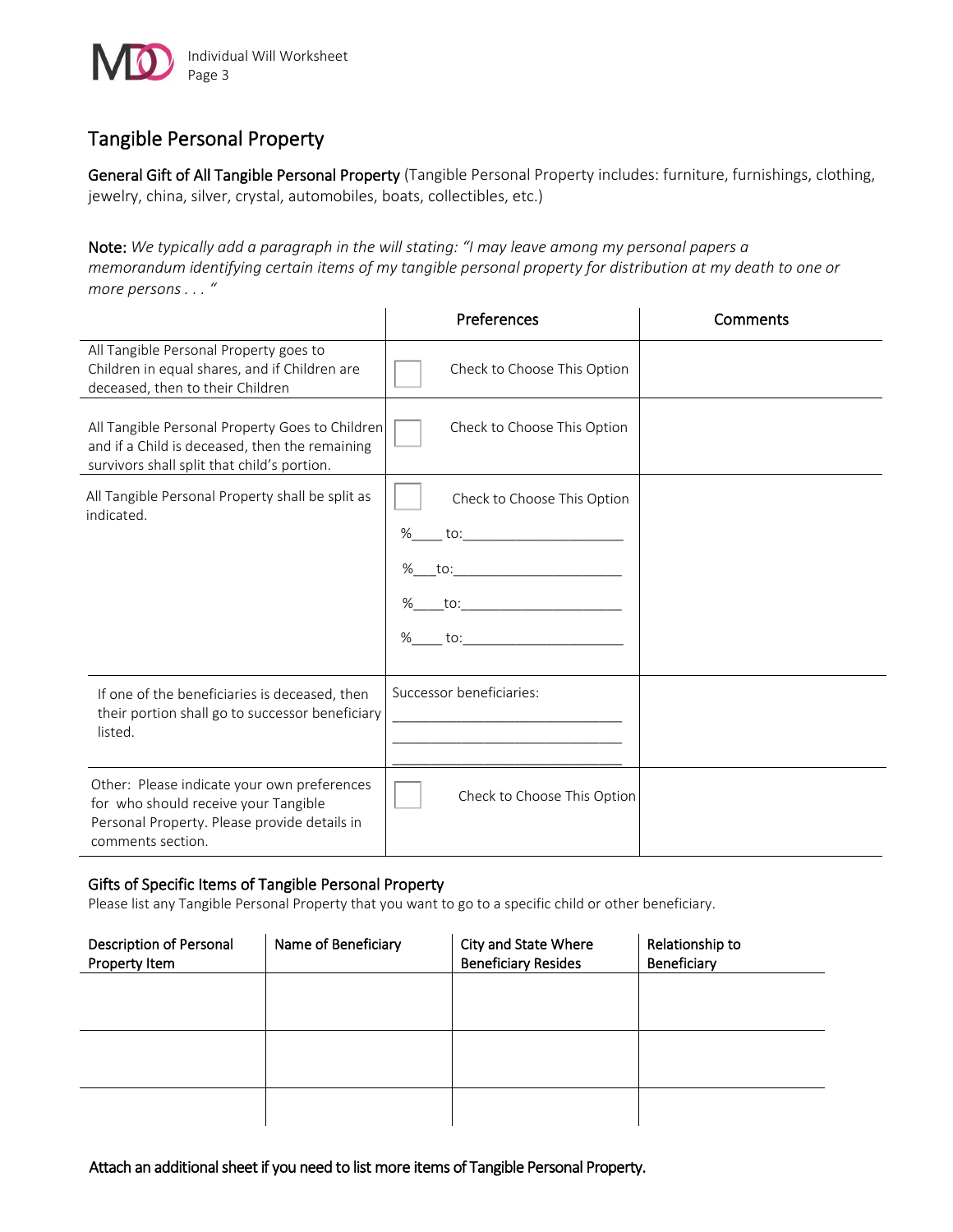

## Tangible Personal Property

General Gift of All Tangible Personal Property (Tangible Personal Property includes: furniture, furnishings, clothing, jewelry, china, silver, crystal, automobiles, boats, collectibles, etc.)

Note: *We typically add a paragraph in the will stating: "I may leave among my personal papers a memorandum identifying certain items of my tangible personal property for distribution at my death to one or more persons . . . "*

|                                                                                                                                                          | Preferences                                                                 | Comments |
|----------------------------------------------------------------------------------------------------------------------------------------------------------|-----------------------------------------------------------------------------|----------|
| All Tangible Personal Property goes to<br>Children in equal shares, and if Children are<br>deceased, then to their Children                              | Check to Choose This Option                                                 |          |
| All Tangible Personal Property Goes to Children<br>and if a Child is deceased, then the remaining<br>survivors shall split that child's portion.         | Check to Choose This Option                                                 |          |
| All Tangible Personal Property shall be split as<br>indicated.                                                                                           | Check to Choose This Option<br>%<br>to:<br>%<br>to:<br>%<br>to:<br>%<br>to: |          |
| If one of the beneficiaries is deceased, then<br>their portion shall go to successor beneficiary<br>listed.                                              | Successor beneficiaries:                                                    |          |
| Other: Please indicate your own preferences<br>for who should receive your Tangible<br>Personal Property. Please provide details in<br>comments section. | Check to Choose This Option                                                 |          |

#### Gifts of Specific Items of Tangible Personal Property

Please list any Tangible Personal Property that you want to go to a specific child or other beneficiary.

| Description of Personal<br>Property Item | Name of Beneficiary | City and State Where<br><b>Beneficiary Resides</b> | Relationship to<br>Beneficiary |
|------------------------------------------|---------------------|----------------------------------------------------|--------------------------------|
|                                          |                     |                                                    |                                |
|                                          |                     |                                                    |                                |
|                                          |                     |                                                    |                                |
|                                          |                     |                                                    |                                |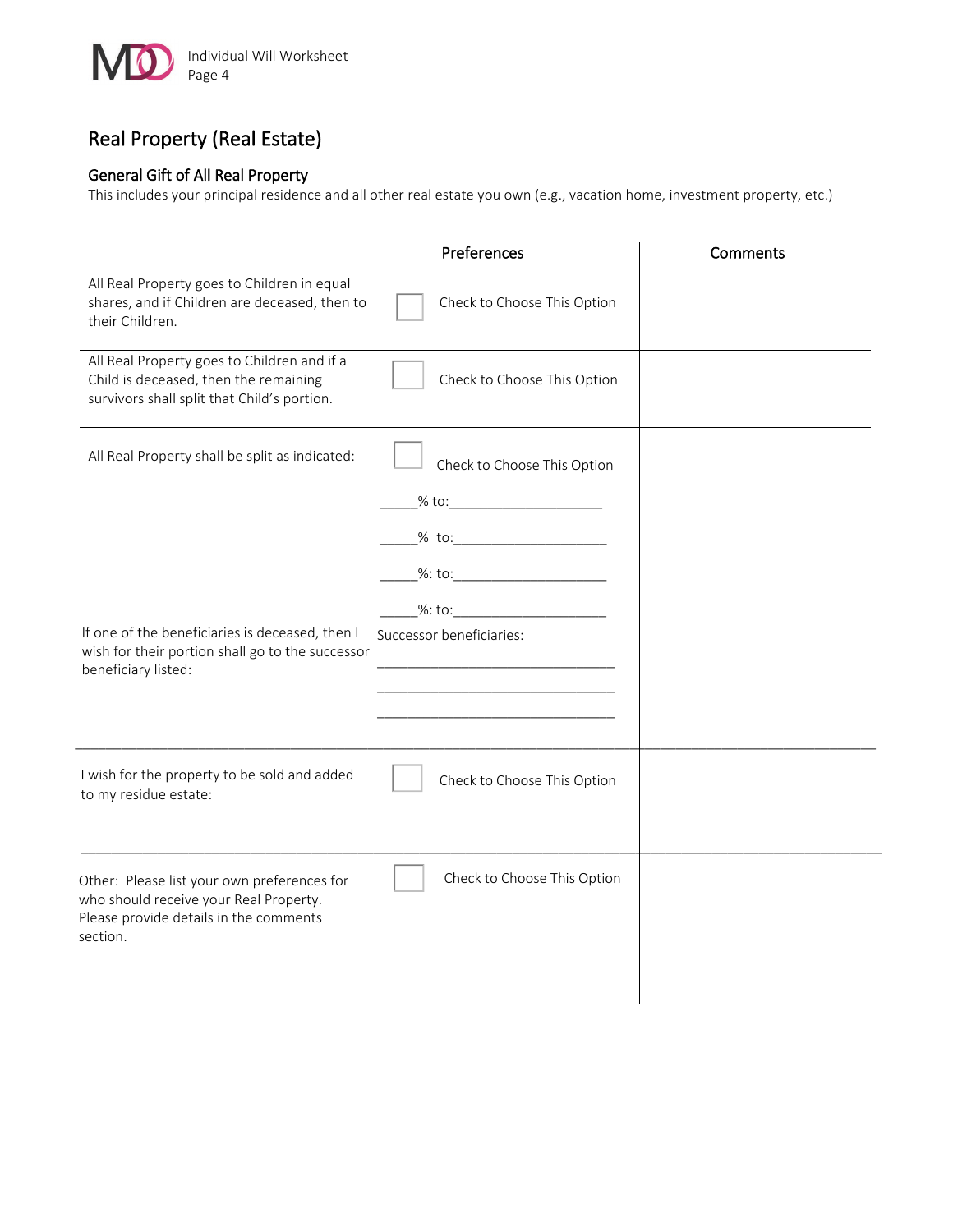

# Real Property (Real Estate)

#### General Gift of All Real Property

This includes your principal residence and all other real estate you own (e.g., vacation home, investment property, etc.)

|                                                                                                                                             | Preferences                                                                                                    | Comments |
|---------------------------------------------------------------------------------------------------------------------------------------------|----------------------------------------------------------------------------------------------------------------|----------|
| All Real Property goes to Children in equal<br>shares, and if Children are deceased, then to<br>their Children.                             | Check to Choose This Option                                                                                    |          |
| All Real Property goes to Children and if a<br>Child is deceased, then the remaining<br>survivors shall split that Child's portion.         | Check to Choose This Option                                                                                    |          |
| All Real Property shall be split as indicated:                                                                                              | Check to Choose This Option<br>_% to:__________________________<br>%: to: $\qquad \qquad \qquad$<br>$\%$ : to: |          |
| If one of the beneficiaries is deceased, then I<br>wish for their portion shall go to the successor<br>beneficiary listed:                  | Successor beneficiaries:                                                                                       |          |
| I wish for the property to be sold and added<br>to my residue estate:                                                                       | Check to Choose This Option                                                                                    |          |
| Other: Please list your own preferences for<br>who should receive your Real Property.<br>Please provide details in the comments<br>section. | Check to Choose This Option                                                                                    |          |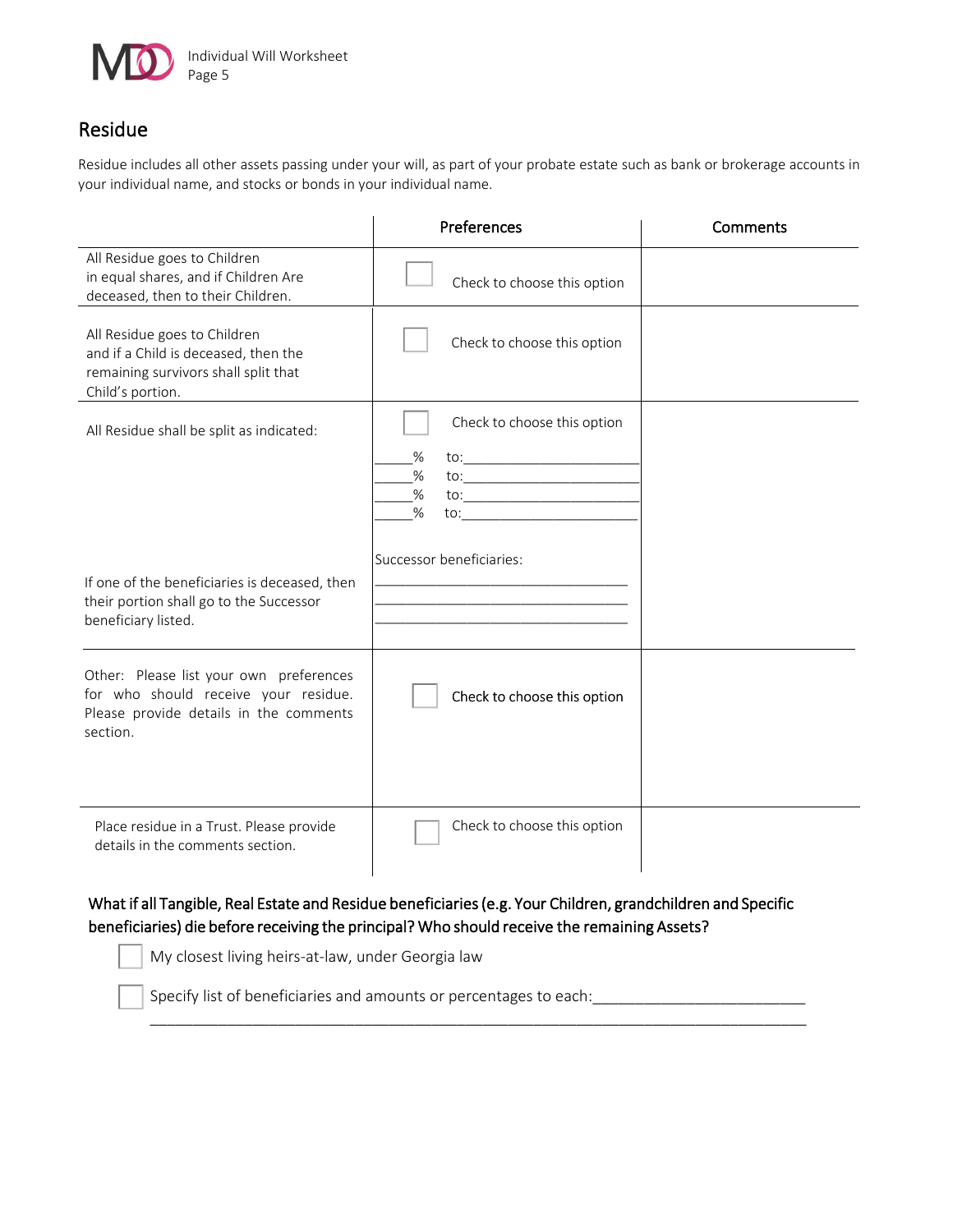

## Residue

Residue includes all other assets passing under your will, as part of your probate estate such as bank or brokerage accounts in your individual name, and stocks or bonds in your individual name.

|                                                                                                                                       | Preferences                                                                  | Comments |
|---------------------------------------------------------------------------------------------------------------------------------------|------------------------------------------------------------------------------|----------|
| All Residue goes to Children<br>in equal shares, and if Children Are<br>deceased, then to their Children.                             | Check to choose this option                                                  |          |
| All Residue goes to Children<br>and if a Child is deceased, then the<br>remaining survivors shall split that<br>Child's portion.      | Check to choose this option                                                  |          |
| All Residue shall be split as indicated:                                                                                              | Check to choose this option<br>%<br>$\%$<br>$\%$<br>to: $\qquad \qquad$<br>% |          |
| If one of the beneficiaries is deceased, then<br>their portion shall go to the Successor<br>beneficiary listed.                       | Successor beneficiaries:                                                     |          |
| Other: Please list your own preferences<br>for who should receive your residue.<br>Please provide details in the comments<br>section. | Check to choose this option                                                  |          |
| Place residue in a Trust. Please provide<br>details in the comments section.                                                          | Check to choose this option                                                  |          |

#### What if all Tangible, Real Estate and Residue beneficiaries (e.g. Your Children, grandchildren and Specific beneficiaries) die before receiving the principal? Who should receive the remaining Assets?

\_\_\_\_\_\_\_\_\_\_\_\_\_\_\_\_\_\_\_\_\_\_\_\_\_\_\_\_\_\_\_\_\_\_\_\_\_\_\_\_\_\_\_\_\_\_\_\_\_\_\_\_\_\_\_\_\_\_\_\_\_\_\_\_\_\_\_\_\_\_\_\_\_\_\_\_\_

My closest living heirs-at-law, under Georgia law

Specify list of beneficiaries and amounts or percentages to each: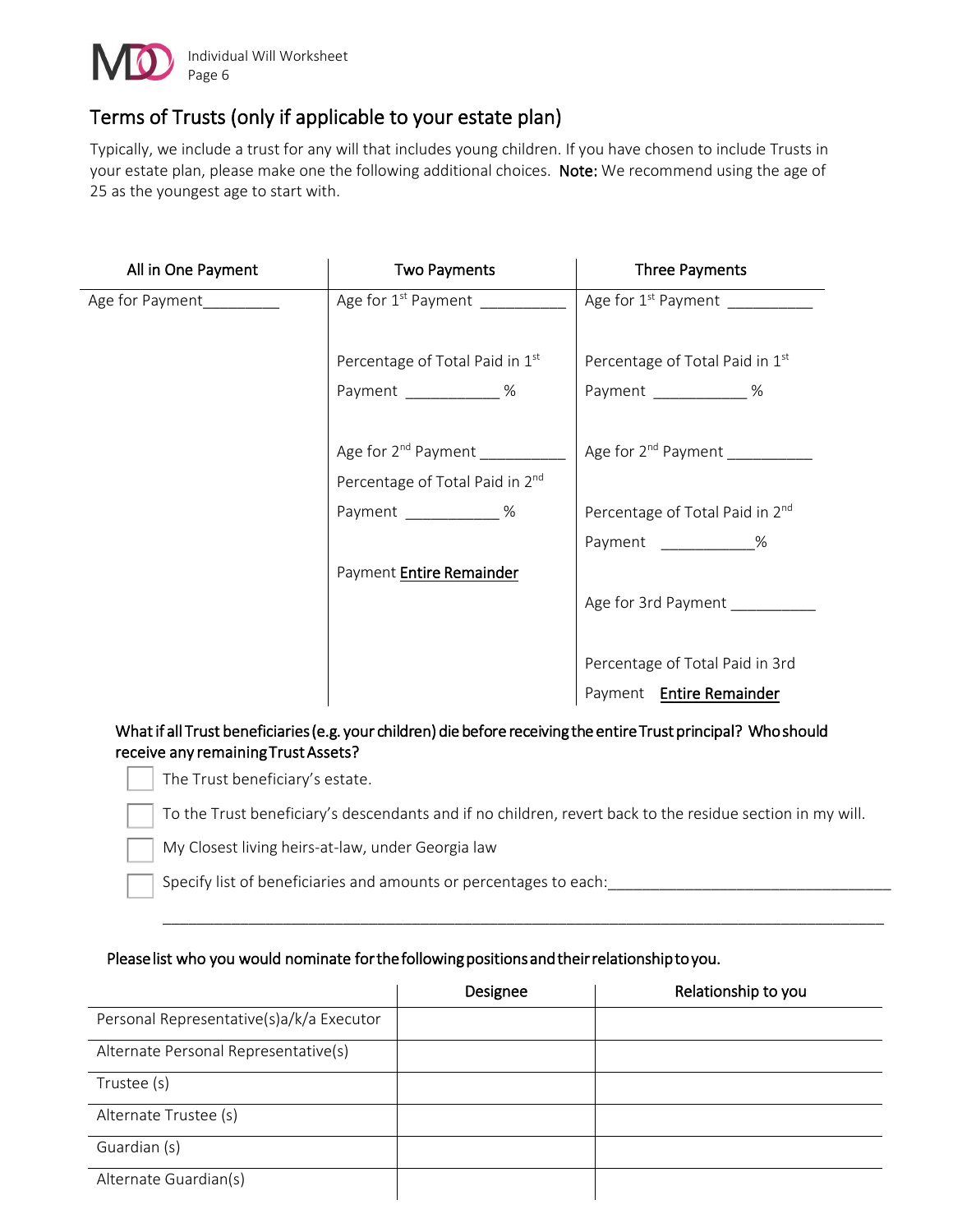

# Terms of Trusts (only if applicable to your estate plan)

Typically, we include a trust for any will that includes young children. If you have chosen to include Trusts in your estate plan, please make one the following additional choices. Note: We recommend using the age of 25 as the youngest age to start with.

| All in One Payment | <b>Two Payments</b>                      | <b>Three Payments</b>                       |
|--------------------|------------------------------------------|---------------------------------------------|
| Age for Payment    | Age for 1 <sup>st</sup> Payment ________ | Age for 1 <sup>st</sup> Payment             |
|                    | Percentage of Total Paid in 1st          | Percentage of Total Paid in 1st             |
|                    | Payment %                                | Payment %                                   |
|                    | Age for 2 <sup>nd</sup> Payment          | Age for 2 <sup>nd</sup> Payment             |
|                    | Percentage of Total Paid in 2nd          |                                             |
|                    | Payment ___________ %                    | Percentage of Total Paid in 2 <sup>nd</sup> |
|                    |                                          | Payment %                                   |
|                    | Payment Entire Remainder                 |                                             |
|                    |                                          | Age for 3rd Payment                         |
|                    |                                          |                                             |
|                    |                                          | Percentage of Total Paid in 3rd             |
|                    |                                          | Payment Entire Remainder                    |

#### What if all Trust beneficiaries (e.g. your children) die before receiving the entire Trust principal? Who should receive any remaining Trust Assets?

The Trust beneficiary's estate.

To the Trust beneficiary's descendants and if no children, revert back to the residue section in my will.

\_\_\_\_\_\_\_\_\_\_\_\_\_\_\_\_\_\_\_\_\_\_\_\_\_\_\_\_\_\_\_\_\_\_\_\_\_\_\_\_\_\_\_\_\_\_\_\_\_\_\_\_\_\_\_\_\_\_\_\_\_\_\_\_\_\_\_\_\_\_\_\_\_\_\_\_\_\_\_\_\_\_\_\_

My Closest living heirs-at-law, under Georgia law

Specify list of beneficiaries and amounts or percentages to each:

#### Please list who you would nominate for the following positions and their relationship to you.

|                                          | Designee | Relationship to you |
|------------------------------------------|----------|---------------------|
| Personal Representative(s)a/k/a Executor |          |                     |
| Alternate Personal Representative(s)     |          |                     |
| Trustee (s)                              |          |                     |
| Alternate Trustee (s)                    |          |                     |
| Guardian (s)                             |          |                     |
| Alternate Guardian(s)                    |          |                     |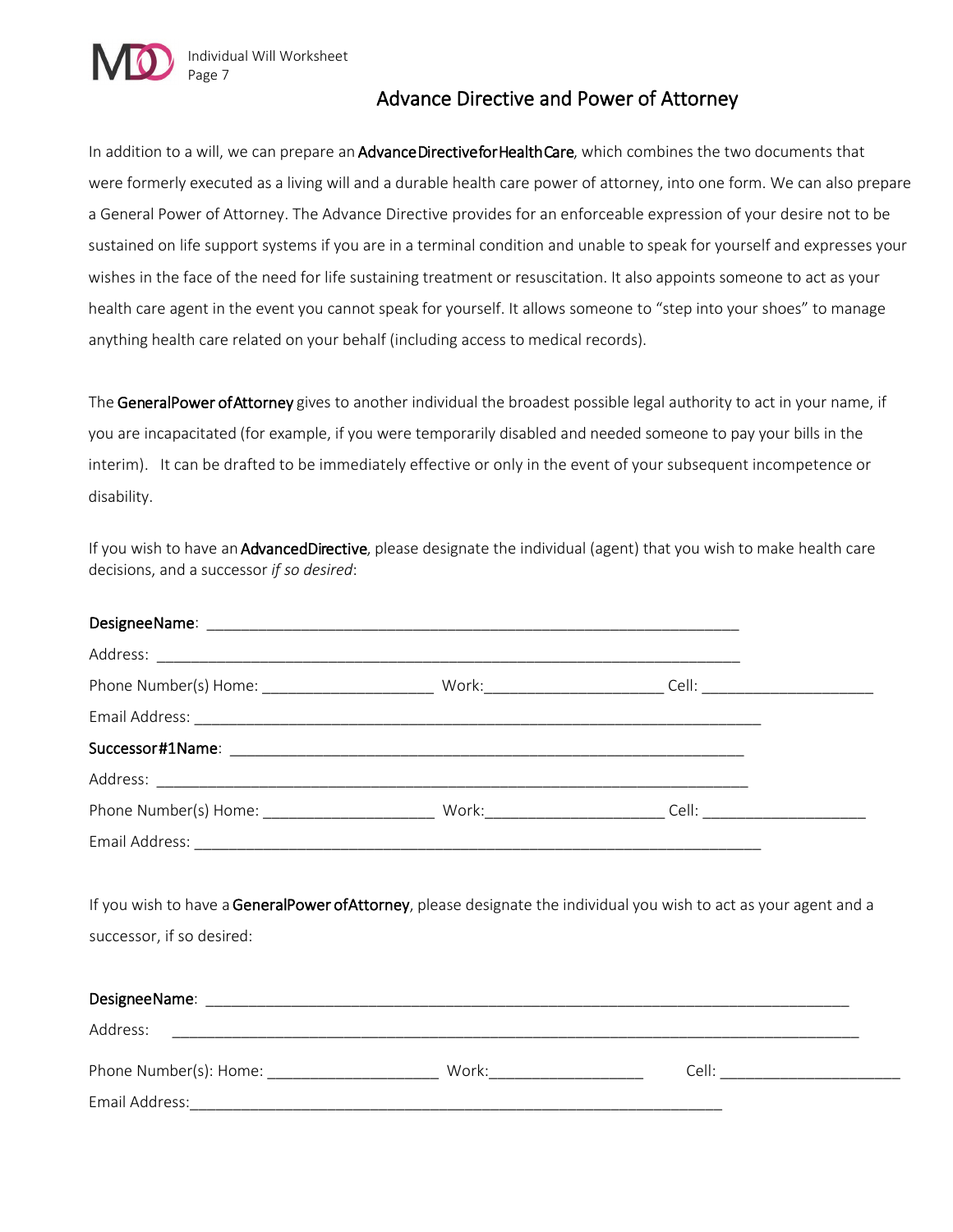

### Advance Directive and Power of Attorney

In addition to a will, we can prepare an Advance Directive for Health Care, which combines the two documents that were formerly executed as a living will and a durable health care power of attorney, into one form. We can also prepare a General Power of Attorney. The Advance Directive provides for an enforceable expression of your desire not to be sustained on life support systems if you are in a terminal condition and unable to speak for yourself and expresses your wishes in the face of the need for life sustaining treatment or resuscitation. It also appoints someone to act as your health care agent in the event you cannot speak for yourself. It allows someone to "step into your shoes" to manage anything health care related on your behalf (including access to medical records).

The GeneralPower of Attorney gives to another individual the broadest possible legal authority to act in your name, if you are incapacitated (for example, if you were temporarily disabled and needed someone to pay your bills in the interim). It can be drafted to be immediately effective or only in the event of your subsequent incompetence or disability.

If you wish to have an AdvancedDirective, please designate the individual (agent) that you wish to make health care decisions, and a successor *if so desired*:

| Phone Number(s) Home: North Work: North Work: Cell: |  |  |
|-----------------------------------------------------|--|--|
|                                                     |  |  |

If you wish to have a GeneralPower of Attorney, please designate the individual you wish to act as your agent and a successor, if so desired:

| DesigneeName:          |       |       |
|------------------------|-------|-------|
| Address:               |       |       |
| Phone Number(s): Home: | Work: | Cell: |
| Email Address:         |       |       |